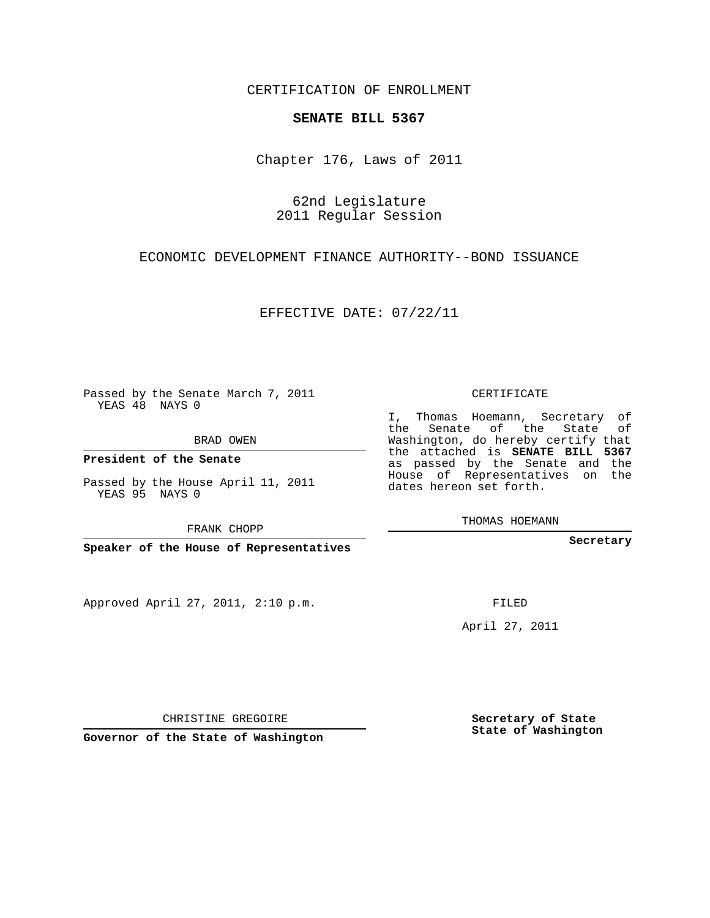CERTIFICATION OF ENROLLMENT

## **SENATE BILL 5367**

Chapter 176, Laws of 2011

62nd Legislature 2011 Regular Session

ECONOMIC DEVELOPMENT FINANCE AUTHORITY--BOND ISSUANCE

EFFECTIVE DATE: 07/22/11

Passed by the Senate March 7, 2011 YEAS 48 NAYS 0

BRAD OWEN

**President of the Senate**

Passed by the House April 11, 2011 YEAS 95 NAYS 0

FRANK CHOPP

**Speaker of the House of Representatives**

Approved April 27, 2011, 2:10 p.m.

CERTIFICATE

I, Thomas Hoemann, Secretary of the Senate of the State of Washington, do hereby certify that the attached is **SENATE BILL 5367** as passed by the Senate and the House of Representatives on the dates hereon set forth.

THOMAS HOEMANN

**Secretary**

FILED

April 27, 2011

**Secretary of State State of Washington**

CHRISTINE GREGOIRE

**Governor of the State of Washington**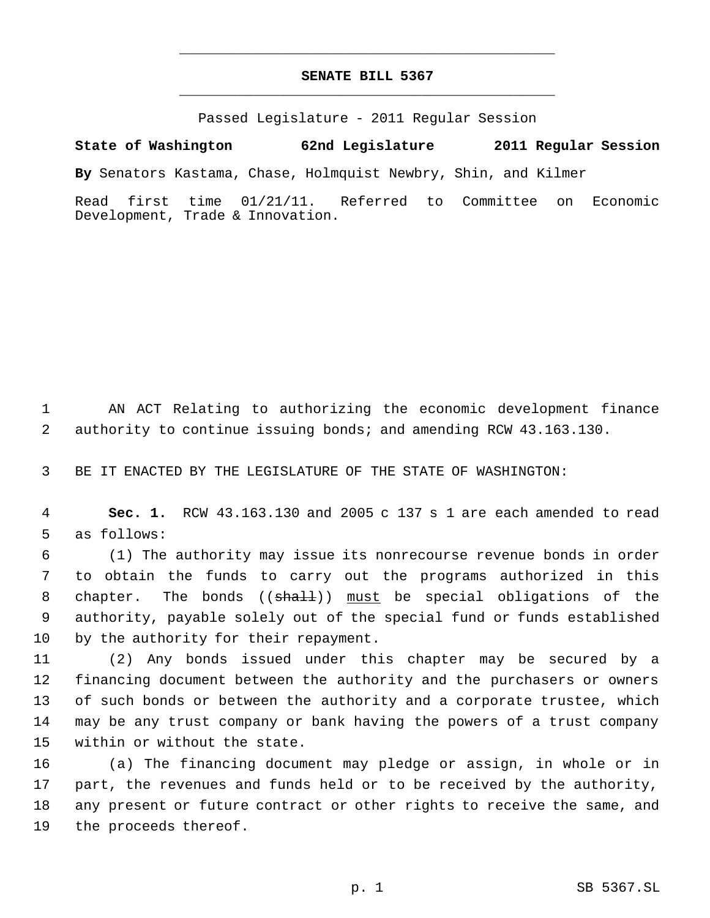## **SENATE BILL 5367** \_\_\_\_\_\_\_\_\_\_\_\_\_\_\_\_\_\_\_\_\_\_\_\_\_\_\_\_\_\_\_\_\_\_\_\_\_\_\_\_\_\_\_\_\_

\_\_\_\_\_\_\_\_\_\_\_\_\_\_\_\_\_\_\_\_\_\_\_\_\_\_\_\_\_\_\_\_\_\_\_\_\_\_\_\_\_\_\_\_\_

Passed Legislature - 2011 Regular Session

**State of Washington 62nd Legislature 2011 Regular Session**

**By** Senators Kastama, Chase, Holmquist Newbry, Shin, and Kilmer

Read first time 01/21/11. Referred to Committee on Economic Development, Trade & Innovation.

 AN ACT Relating to authorizing the economic development finance authority to continue issuing bonds; and amending RCW 43.163.130.

BE IT ENACTED BY THE LEGISLATURE OF THE STATE OF WASHINGTON:

 **Sec. 1.** RCW 43.163.130 and 2005 c 137 s 1 are each amended to read as follows:

 (1) The authority may issue its nonrecourse revenue bonds in order to obtain the funds to carry out the programs authorized in this 8 chapter. The bonds (( $\frac{1}{2}$ ) must be special obligations of the authority, payable solely out of the special fund or funds established by the authority for their repayment.

 (2) Any bonds issued under this chapter may be secured by a financing document between the authority and the purchasers or owners of such bonds or between the authority and a corporate trustee, which may be any trust company or bank having the powers of a trust company within or without the state.

 (a) The financing document may pledge or assign, in whole or in part, the revenues and funds held or to be received by the authority, any present or future contract or other rights to receive the same, and the proceeds thereof.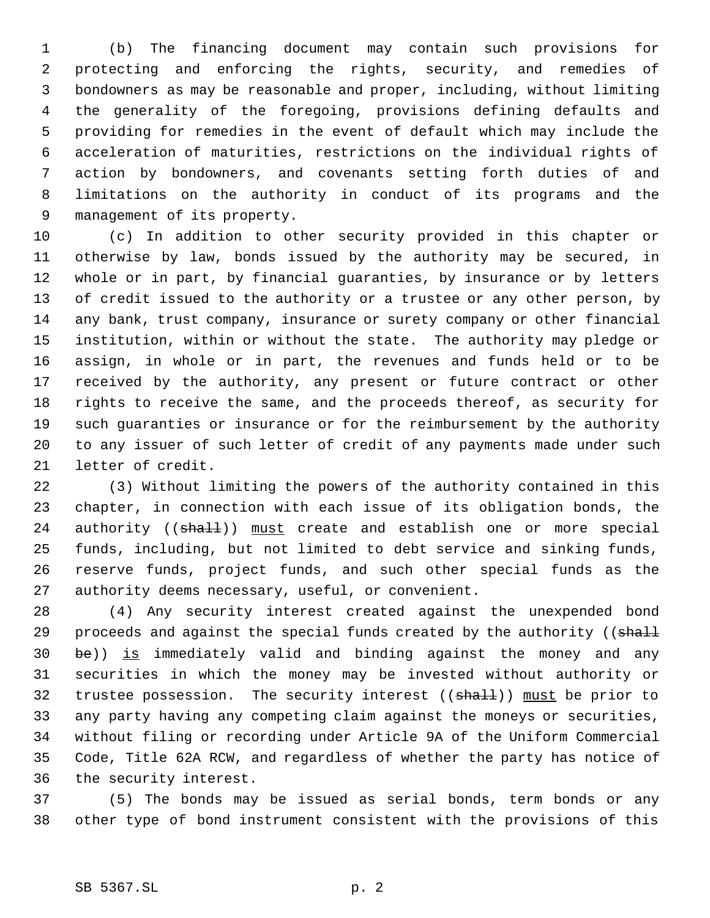(b) The financing document may contain such provisions for protecting and enforcing the rights, security, and remedies of bondowners as may be reasonable and proper, including, without limiting the generality of the foregoing, provisions defining defaults and providing for remedies in the event of default which may include the acceleration of maturities, restrictions on the individual rights of action by bondowners, and covenants setting forth duties of and limitations on the authority in conduct of its programs and the management of its property.

 (c) In addition to other security provided in this chapter or otherwise by law, bonds issued by the authority may be secured, in whole or in part, by financial guaranties, by insurance or by letters of credit issued to the authority or a trustee or any other person, by any bank, trust company, insurance or surety company or other financial institution, within or without the state. The authority may pledge or assign, in whole or in part, the revenues and funds held or to be received by the authority, any present or future contract or other rights to receive the same, and the proceeds thereof, as security for such guaranties or insurance or for the reimbursement by the authority to any issuer of such letter of credit of any payments made under such letter of credit.

 (3) Without limiting the powers of the authority contained in this chapter, in connection with each issue of its obligation bonds, the 24 authority ((shall)) must create and establish one or more special funds, including, but not limited to debt service and sinking funds, reserve funds, project funds, and such other special funds as the authority deems necessary, useful, or convenient.

 (4) Any security interest created against the unexpended bond 29 proceeds and against the special funds created by the authority ((shall be)) is immediately valid and binding against the money and any securities in which the money may be invested without authority or 32 trustee possession. The security interest ((shall)) must be prior to any party having any competing claim against the moneys or securities, without filing or recording under Article 9A of the Uniform Commercial Code, Title 62A RCW, and regardless of whether the party has notice of the security interest.

 (5) The bonds may be issued as serial bonds, term bonds or any other type of bond instrument consistent with the provisions of this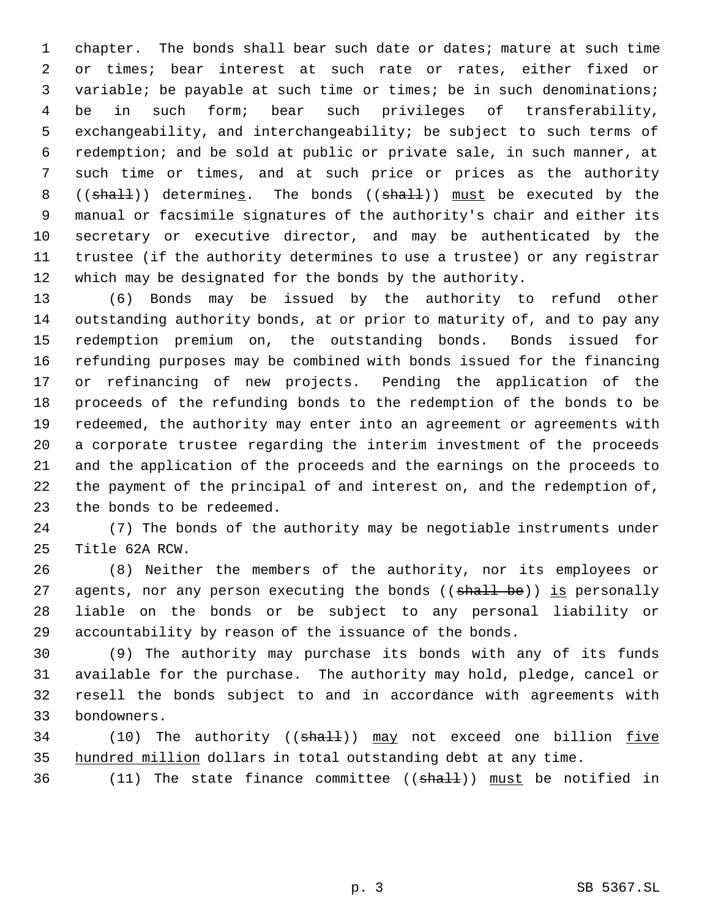chapter. The bonds shall bear such date or dates; mature at such time or times; bear interest at such rate or rates, either fixed or variable; be payable at such time or times; be in such denominations; be in such form; bear such privileges of transferability, exchangeability, and interchangeability; be subject to such terms of redemption; and be sold at public or private sale, in such manner, at such time or times, and at such price or prices as the authority 8 (( $shall$ )) determines. The bonds (( $shall$ )) must be executed by the manual or facsimile signatures of the authority's chair and either its secretary or executive director, and may be authenticated by the trustee (if the authority determines to use a trustee) or any registrar which may be designated for the bonds by the authority.

 (6) Bonds may be issued by the authority to refund other outstanding authority bonds, at or prior to maturity of, and to pay any redemption premium on, the outstanding bonds. Bonds issued for refunding purposes may be combined with bonds issued for the financing or refinancing of new projects. Pending the application of the proceeds of the refunding bonds to the redemption of the bonds to be redeemed, the authority may enter into an agreement or agreements with a corporate trustee regarding the interim investment of the proceeds and the application of the proceeds and the earnings on the proceeds to the payment of the principal of and interest on, and the redemption of, the bonds to be redeemed.

 (7) The bonds of the authority may be negotiable instruments under Title 62A RCW.

 (8) Neither the members of the authority, nor its employees or 27 agents, nor any person executing the bonds ((shall be)) is personally liable on the bonds or be subject to any personal liability or accountability by reason of the issuance of the bonds.

 (9) The authority may purchase its bonds with any of its funds available for the purchase. The authority may hold, pledge, cancel or resell the bonds subject to and in accordance with agreements with bondowners.

34 (10) The authority ((shall)) may not exceed one billion five 35 hundred million dollars in total outstanding debt at any time.

36 (11) The state finance committee ((shall)) must be notified in